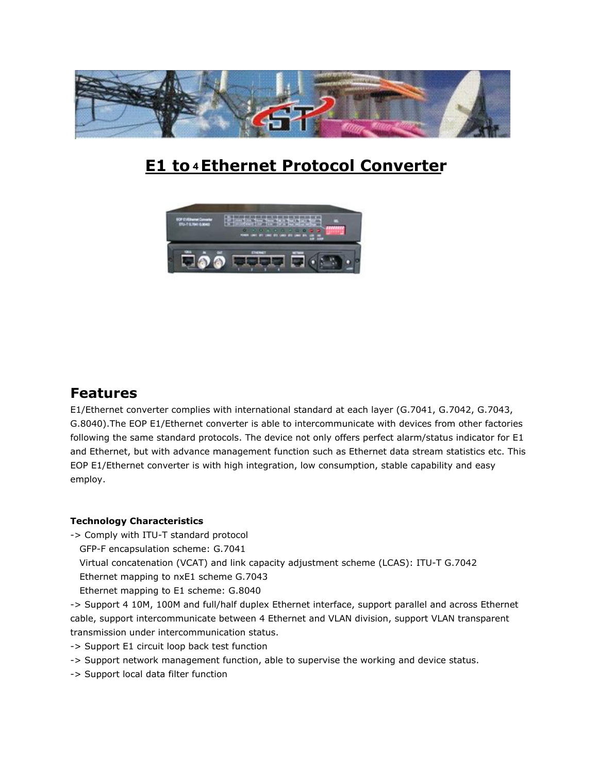

# **E1 to 4 Ethernet Protocol Converter**



# **Features**

E1/Ethernet converter complies with international standard at each layer (G.7041, G.7042, G.7043, G.8040).The EOP E1/Ethernet converter is able to intercommunicate with devices from other factories following the same standard protocols. The device not only offers perfect alarm/status indicator for E1 and Ethernet, but with advance management function such as Ethernet data stream statistics etc. This EOP E1/Ethernet converter is with high integration, low consumption, stable capability and easy employ.

# **Technology Characteristics**

- -> Comply with ITU-T standard protocol
	- GFP-F encapsulation scheme: G.7041
	- Virtual concatenation (VCAT) and link capacity adjustment scheme (LCAS): ITU-T G.7042
	- Ethernet mapping to nxE1 scheme G.7043
	- Ethernet mapping to E1 scheme: G.8040

-> Support 4 10M, 100M and full/half duplex Ethernet interface, support parallel and across Ethernet cable, support intercommunicate between 4 Ethernet and VLAN division, support VLAN transparent transmission under intercommunication status.

- -> Support E1 circuit loop back test function
- -> Support network management function, able to supervise the working and device status.
- -> Support local data filter function